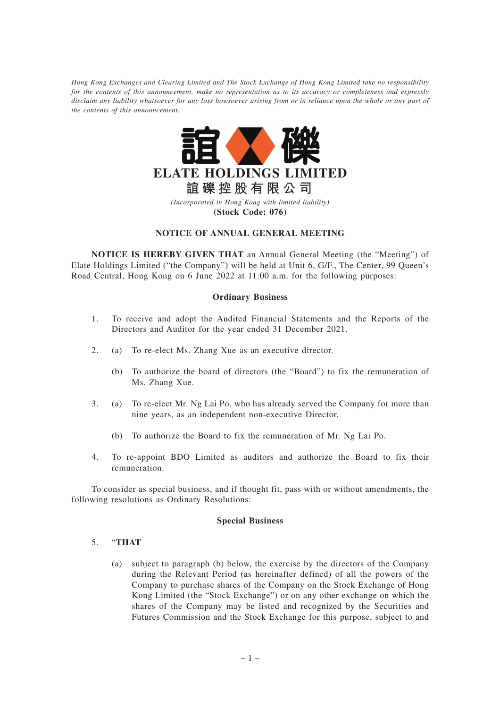*Hong Kong Exchanges and Clearing Limited and The Stock Exchange of Hong Kong Limited take no responsibility for the contents of this announcement, make no representation as to its accuracy or completeness and expressly disclaim any liability whatsoever for any loss howsoever arising from or in reliance upon the whole or any part of the contents of this announcement.*



# **NOTICE OF ANNUAL GENERAL MEETING**

**NOTICE IS HEREBY GIVEN THAT** an Annual General Meeting (the "Meeting") of Elate Holdings Limited ("the Company") will be held at Unit 6, G/F., The Center, 99 Queen's Road Central, Hong Kong on 6 June 2022 at 11:00 a.m. for the following purposes:

### **Ordinary Business**

- 1. To receive and adopt the Audited Financial Statements and the Reports of the Directors and Auditor for the year ended 31 December 2021.
- 2. (a) To re-elect Ms. Zhang Xue as an executive director.
	- (b) To authorize the board of directors (the "Board") to fix the remuneration of Ms. Zhang Xue.
- 3. (a) To re-elect Mr. Ng Lai Po, who has already served the Company for more than nine years, as an independent non-executive Director.
	- (b) To authorize the Board to fix the remuneration of Mr. Ng Lai Po.
- 4. To re-appoint BDO Limited as auditors and authorize the Board to fix their remuneration.

To consider as special business, and if thought fit, pass with or without amendments, the following resolutions as Ordinary Resolutions:

### **Special Business**

# 5. "**THAT**

(a) subject to paragraph (b) below, the exercise by the directors of the Company during the Relevant Period (as hereinafter defined) of all the powers of the Company to purchase shares of the Company on the Stock Exchange of Hong Kong Limited (the "Stock Exchange") or on any other exchange on which the shares of the Company may be listed and recognized by the Securities and Futures Commission and the Stock Exchange for this purpose, subject to and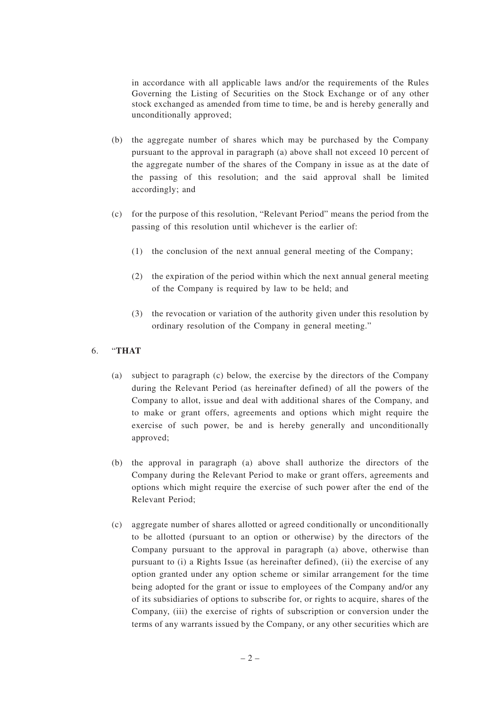in accordance with all applicable laws and/or the requirements of the Rules Governing the Listing of Securities on the Stock Exchange or of any other stock exchanged as amended from time to time, be and is hereby generally and unconditionally approved;

- (b) the aggregate number of shares which may be purchased by the Company pursuant to the approval in paragraph (a) above shall not exceed 10 percent of the aggregate number of the shares of the Company in issue as at the date of the passing of this resolution; and the said approval shall be limited accordingly; and
- (c) for the purpose of this resolution, "Relevant Period" means the period from the passing of this resolution until whichever is the earlier of:
	- (1) the conclusion of the next annual general meeting of the Company;
	- (2) the expiration of the period within which the next annual general meeting of the Company is required by law to be held; and
	- (3) the revocation or variation of the authority given under this resolution by ordinary resolution of the Company in general meeting."

# 6. "**THAT**

- (a) subject to paragraph (c) below, the exercise by the directors of the Company during the Relevant Period (as hereinafter defined) of all the powers of the Company to allot, issue and deal with additional shares of the Company, and to make or grant offers, agreements and options which might require the exercise of such power, be and is hereby generally and unconditionally approved;
- (b) the approval in paragraph (a) above shall authorize the directors of the Company during the Relevant Period to make or grant offers, agreements and options which might require the exercise of such power after the end of the Relevant Period;
- (c) aggregate number of shares allotted or agreed conditionally or unconditionally to be allotted (pursuant to an option or otherwise) by the directors of the Company pursuant to the approval in paragraph (a) above, otherwise than pursuant to (i) a Rights Issue (as hereinafter defined), (ii) the exercise of any option granted under any option scheme or similar arrangement for the time being adopted for the grant or issue to employees of the Company and/or any of its subsidiaries of options to subscribe for, or rights to acquire, shares of the Company, (iii) the exercise of rights of subscription or conversion under the terms of any warrants issued by the Company, or any other securities which are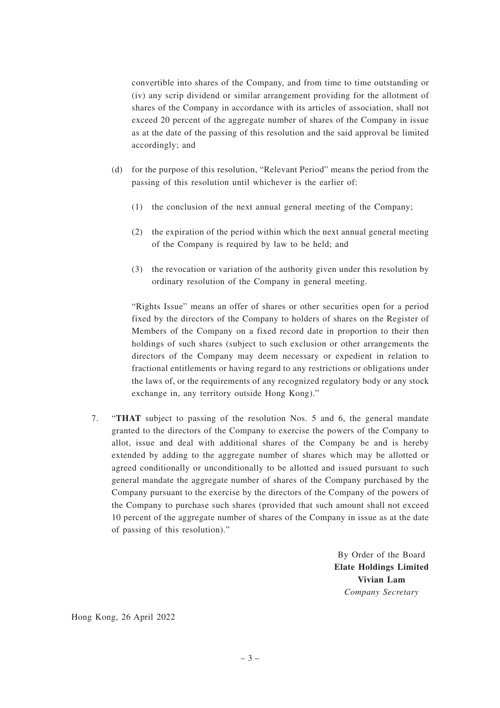convertible into shares of the Company, and from time to time outstanding or (iv) any scrip dividend or similar arrangement providing for the allotment of shares of the Company in accordance with its articles of association, shall not exceed 20 percent of the aggregate number of shares of the Company in issue as at the date of the passing of this resolution and the said approval be limited accordingly; and

- (d) for the purpose of this resolution, "Relevant Period" means the period from the passing of this resolution until whichever is the earlier of:
	- (1) the conclusion of the next annual general meeting of the Company;
	- (2) the expiration of the period within which the next annual general meeting of the Company is required by law to be held; and
	- (3) the revocation or variation of the authority given under this resolution by ordinary resolution of the Company in general meeting.

"Rights Issue" means an offer of shares or other securities open for a period fixed by the directors of the Company to holders of shares on the Register of Members of the Company on a fixed record date in proportion to their then holdings of such shares (subject to such exclusion or other arrangements the directors of the Company may deem necessary or expedient in relation to fractional entitlements or having regard to any restrictions or obligations under the laws of, or the requirements of any recognized regulatory body or any stock exchange in, any territory outside Hong Kong)."

7. "**THAT** subject to passing of the resolution Nos. 5 and 6, the general mandate granted to the directors of the Company to exercise the powers of the Company to allot, issue and deal with additional shares of the Company be and is hereby extended by adding to the aggregate number of shares which may be allotted or agreed conditionally or unconditionally to be allotted and issued pursuant to such general mandate the aggregate number of shares of the Company purchased by the Company pursuant to the exercise by the directors of the Company of the powers of the Company to purchase such shares (provided that such amount shall not exceed 10 percent of the aggregate number of shares of the Company in issue as at the date of passing of this resolution)."

> By Order of the Board **Elate Holdings Limited Vivian Lam** *Company Secretary*

Hong Kong, 26 April 2022